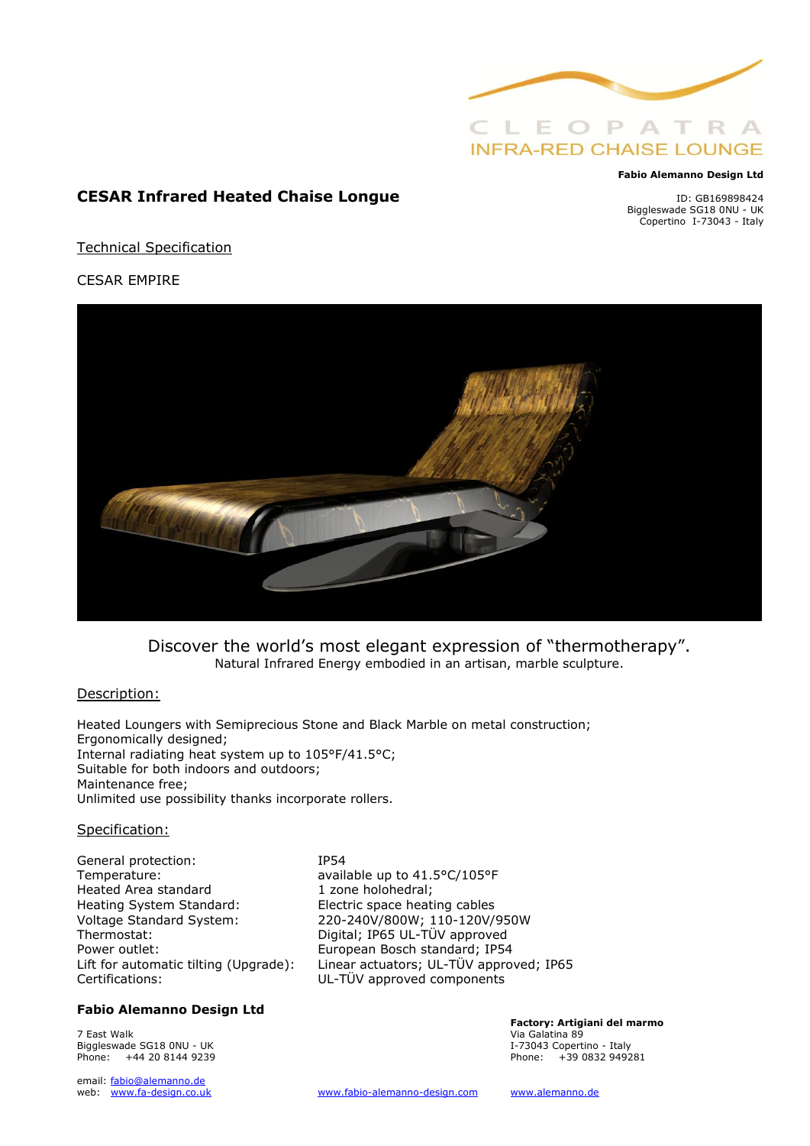

#### **Fabio Alemanno Design Ltd**

**CESAR Infrared Heated Chaise Longue**

ID: GB169898424 Biggleswade SG18 0NU - UK Copertino I-73043 - Italy

Technical Specification

CESAR EMPIRE



Discover the world's most elegant expression of "thermotherapy". Natural Infrared Energy embodied in an artisan, marble sculpture.

### Description:

Heated Loungers with Semiprecious Stone and Black Marble on metal construction; Ergonomically designed; Internal radiating heat system up to 105°F/41.5°C; Suitable for both indoors and outdoors; Maintenance free; Unlimited use possibility thanks incorporate rollers.

### Specification:

General protection: IP54 Temperature: available up to 41.5°C/105°F Heated Area standard 1 zone holohedral; Heating System Standard: Electric space heating cables Voltage Standard System: 220-240V/800W; 110-120V/950W Thermostat: Thermostat: Digital; IP65 UL-TÜV approved Power outlet: European Bosch standard; IP54 Certifications: UL-TÜV approved components

### **Fabio Alemanno Design Ltd**

7 East Walk Via Galatina 89 Biggleswade SG18 0NU - UK **I-73043** Copertino - Italy Phone: +44 20 8144 9239 Phone: +39 0832 949281

email: fabio@alemanno.de<br>web: www.fa-design.co.uk

Lift for automatic tilting (Upgrade): Linear actuators; UL-TÜV approved; IP65

**Factory: Artigiani del marmo**